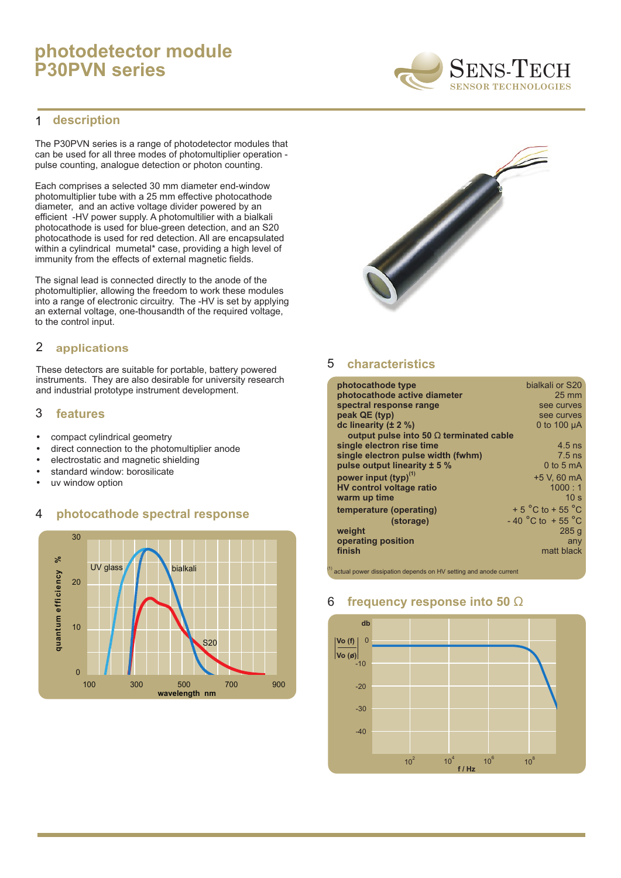# **photodetector module P30PVN series**

#### **description** 1

The P30PVN series is a range of photodetector modules that can be used for all three modes of photomultiplier operation pulse counting, analogue detection or photon counting.

Each comprises a selected 30 mm diameter end-window photomultiplier tube with a 25 mm effective photocathode diameter, and an active voltage divider powered by an efficient -HV power supply. A photomultilier with a bialkali photocathode is used for blue-green detection, and an S20 photocathode is used for red detection. All are encapsulated within a cylindrical mumetal\* case, providing a high level of immunity from the effects of external magnetic fields.

The signal lead is connected directly to the anode of the photomultiplier, allowing the freedom to work these modules into a range of electronic circuitry. The -HV is set by applying an external voltage, one-thousandth of the required voltage, to the control input.

## 2 **applications**

These detectors are suitable for portable, battery powered instruments. They are also desirable for university research and industrial prototype instrument development.

### 3 **features**

- 
- compact cylindrical geometry<br>• direct connection to the photo • direct connection to the photomultiplier anode<br>• electrostatic and magnetic shielding
- electrostatic and magnetic shielding<br>• standard window: borosilicate
- standard window: borosilicate<br>• uv window option
- uv window option

### 4 **photocathode spectral response**





#### 5 **characteristics**

| photocathode type                              | bialkali or S20                   |
|------------------------------------------------|-----------------------------------|
| photocathode active diameter                   | $25 \text{ mm}$                   |
| spectral response range                        | see curves                        |
| peak QE (typ)                                  | see curves                        |
| dc linearity $(\pm 2 \%)$                      | 0 to 100 $\mu$ A                  |
| output pulse into 50 $\Omega$ terminated cable |                                   |
| single electron rise time                      | $4.5$ ns                          |
| single electron pulse width (fwhm)             | $7.5$ ns                          |
| pulse output linearity $\pm$ 5 %               | 0 to 5 $mA$                       |
| power input (typ) <sup>(1)</sup>               | +5 V, 60 mA                       |
| <b>HV control voltage ratio</b>                | 1000:1                            |
| warm up time                                   | 10 <sub>s</sub>                   |
| temperature (operating)                        | $+5^{\circ}$ C to $+55^{\circ}$ C |
| (storage)                                      | $-40\degree$ C to $+55\degree$ C  |
| weight                                         | 285q                              |
| operating position                             | any                               |
| finish                                         | matt black                        |
|                                                |                                   |

 $\frac{1}{2}$  actual power dissipation depends on HV setting and anode current

### 6 **frequency response into 50** Ω